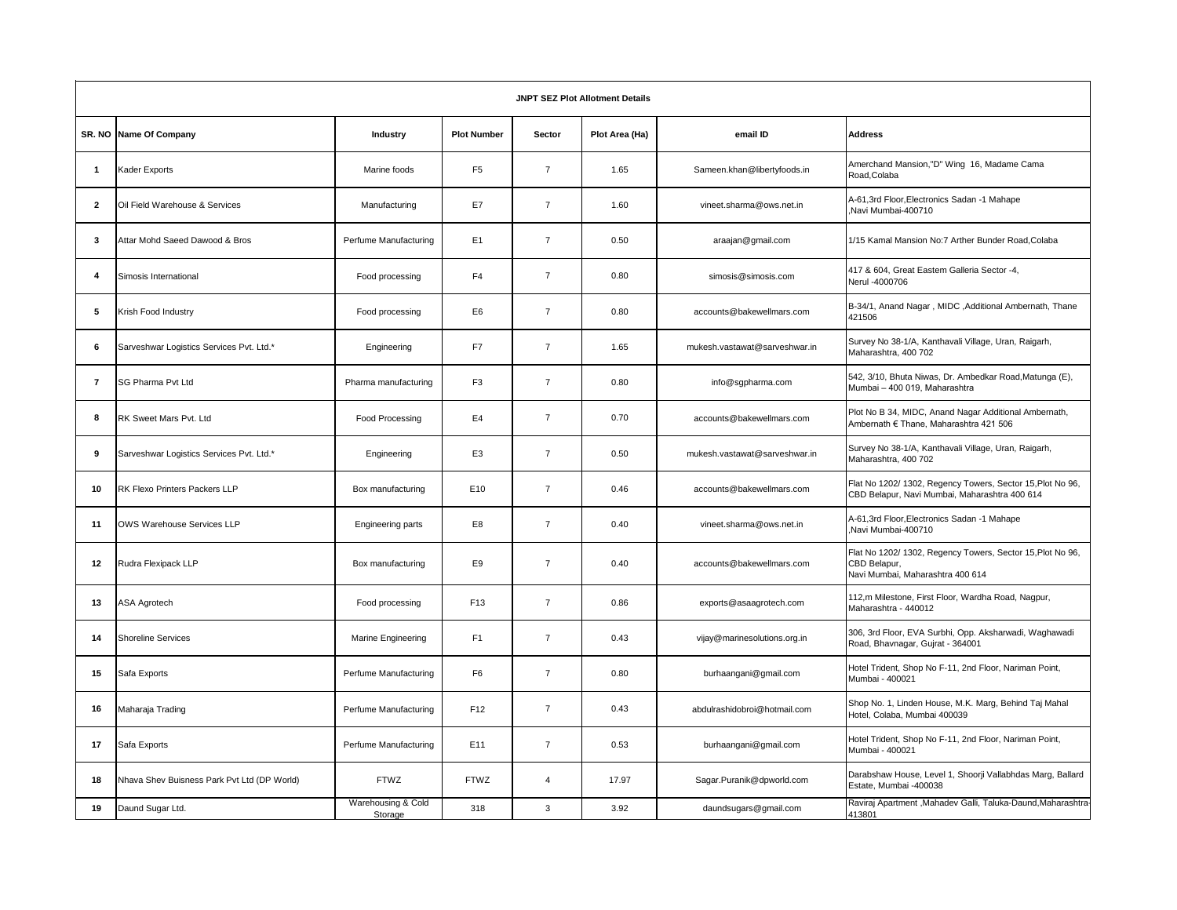| <b>JNPT SEZ Plot Allotment Details</b> |                                             |                               |                    |                |                |                               |                                                                                                                |  |  |  |
|----------------------------------------|---------------------------------------------|-------------------------------|--------------------|----------------|----------------|-------------------------------|----------------------------------------------------------------------------------------------------------------|--|--|--|
|                                        | SR. NO Name Of Company                      | Industry                      | <b>Plot Number</b> | Sector         | Plot Area (Ha) | email ID                      | <b>Address</b>                                                                                                 |  |  |  |
| $\overline{\mathbf{1}}$                | Kader Exports                               | Marine foods                  | F <sub>5</sub>     | $\overline{7}$ | 1.65           | Sameen.khan@libertyfoods.in   | Amerchand Mansion,"D" Wing 16, Madame Cama<br>Road, Colaba                                                     |  |  |  |
| $\mathbf{2}$                           | Oil Field Warehouse & Services              | Manufacturing                 | E7                 | $\overline{7}$ | 1.60           | vineet.sharma@ows.net.in      | A-61,3rd Floor, Electronics Sadan -1 Mahape<br>Navi Mumbai-400710                                              |  |  |  |
| 3                                      | Attar Mohd Saeed Dawood & Bros              | Perfume Manufacturing         | E1                 | $\overline{7}$ | 0.50           | araajan@gmail.com             | 1/15 Kamal Mansion No:7 Arther Bunder Road, Colaba                                                             |  |  |  |
| 4                                      | Simosis International                       | Food processing               | F <sub>4</sub>     | $\overline{7}$ | 0.80           | simosis@simosis.com           | 417 & 604, Great Eastem Galleria Sector -4,<br>Nerul -4000706                                                  |  |  |  |
| 5                                      | Krish Food Industry                         | Food processing               | E <sub>6</sub>     | $\overline{7}$ | 0.80           | accounts@bakewellmars.com     | B-34/1, Anand Nagar, MIDC, Additional Ambernath, Thane<br>421506                                               |  |  |  |
| 6                                      | Sarveshwar Logistics Services Pvt. Ltd.*    | Engineering                   | F7                 | $\overline{7}$ | 1.65           | mukesh.vastawat@sarveshwar.in | Survey No 38-1/A, Kanthavali Village, Uran, Raigarh,<br>Maharashtra, 400 702                                   |  |  |  |
| 7                                      | SG Pharma Pvt Ltd                           | Pharma manufacturing          | F <sub>3</sub>     | $\overline{7}$ | 0.80           | info@sgpharma.com             | 542, 3/10, Bhuta Niwas, Dr. Ambedkar Road, Matunga (E),<br>Mumbai - 400 019. Maharashtra                       |  |  |  |
| 8                                      | RK Sweet Mars Pvt. Ltd                      | Food Processing               | E4                 | $\overline{7}$ | 0.70           | accounts@bakewellmars.com     | Plot No B 34, MIDC, Anand Nagar Additional Ambernath,<br>Ambernath € Thane, Maharashtra 421 506                |  |  |  |
| 9                                      | Sarveshwar Logistics Services Pvt. Ltd.*    | Engineering                   | E <sub>3</sub>     | $\overline{7}$ | 0.50           | mukesh.vastawat@sarveshwar.in | Survey No 38-1/A, Kanthavali Village, Uran, Raigarh,<br>Maharashtra, 400 702                                   |  |  |  |
| 10                                     | RK Flexo Printers Packers LLP               | Box manufacturing             | E10                | $\overline{7}$ | 0.46           | accounts@bakewellmars.com     | Flat No 1202/ 1302, Regency Towers, Sector 15, Plot No 96,<br>CBD Belapur, Navi Mumbai, Maharashtra 400 614    |  |  |  |
| 11                                     | OWS Warehouse Services LLP                  | Engineering parts             | E8                 | $\overline{7}$ | 0.40           | vineet.sharma@ows.net.in      | A-61,3rd Floor, Electronics Sadan -1 Mahape<br>Navi Mumbai-400710                                              |  |  |  |
| 12                                     | Rudra Flexipack LLP                         | Box manufacturing             | E9                 | $\overline{7}$ | 0.40           | accounts@bakewellmars.com     | Flat No 1202/ 1302, Regency Towers, Sector 15, Plot No 96,<br>CBD Belapur,<br>Navi Mumbai, Maharashtra 400 614 |  |  |  |
| 13                                     | ASA Agrotech                                | Food processing               | F <sub>13</sub>    | $\overline{7}$ | 0.86           | exports@asaagrotech.com       | 112,m Milestone, First Floor, Wardha Road, Nagpur,<br>Maharashtra - 440012                                     |  |  |  |
| 14                                     | <b>Shoreline Services</b>                   | Marine Engineering            | F <sub>1</sub>     | $\overline{7}$ | 0.43           | vijay@marinesolutions.org.in  | 306, 3rd Floor, EVA Surbhi, Opp. Aksharwadi, Waghawadi<br>Road, Bhavnagar, Gujrat - 364001                     |  |  |  |
| 15                                     | Safa Exports                                | Perfume Manufacturing         | F <sub>6</sub>     | $\overline{7}$ | 0.80           | burhaangani@gmail.com         | Hotel Trident, Shop No F-11, 2nd Floor, Nariman Point,<br>Mumbai - 400021                                      |  |  |  |
| 16                                     | Maharaja Trading                            | Perfume Manufacturing         | F <sub>12</sub>    | $\overline{7}$ | 0.43           | abdulrashidobroi@hotmail.com  | Shop No. 1, Linden House, M.K. Marg, Behind Taj Mahal<br>Hotel, Colaba, Mumbai 400039                          |  |  |  |
| 17                                     | Safa Exports                                | Perfume Manufacturing         | E11                | $\overline{7}$ | 0.53           | burhaangani@gmail.com         | Hotel Trident, Shop No F-11, 2nd Floor, Nariman Point,<br>Mumbai - 400021                                      |  |  |  |
| 18                                     | Nhava Shev Buisness Park Pvt Ltd (DP World) | <b>FTWZ</b>                   | <b>FTWZ</b>        | $\overline{4}$ | 17.97          | Sagar.Puranik@dpworld.com     | Darabshaw House, Level 1, Shoorji Vallabhdas Marg, Ballard<br>Estate, Mumbai -400038                           |  |  |  |
| 19                                     | Daund Sugar Ltd.                            | Warehousing & Cold<br>Storage | 318                | 3              | 3.92           | daundsugars@gmail.com         | Raviraj Apartment, Mahadev Galli, Taluka-Daund, Maharashtra-<br>413801                                         |  |  |  |